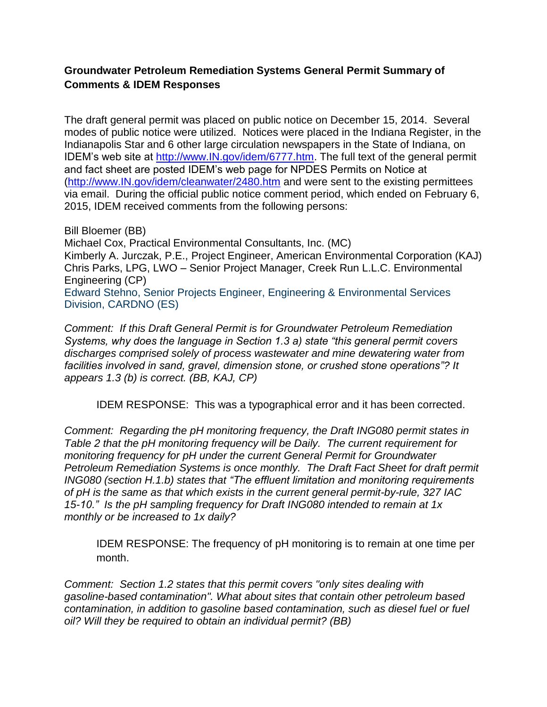## **Groundwater Petroleum Remediation Systems General Permit Summary of Comments & IDEM Responses**

The draft general permit was placed on public notice on December 15, 2014. Several modes of public notice were utilized. Notices were placed in the Indiana Register, in the Indianapolis Star and 6 other large circulation newspapers in the State of Indiana, on IDEM's web site at [http://www.IN.gov/idem/6777.htm.](http://www.in.gov/idem/6777.htm) The full text of the general permit and fact sheet are posted IDEM's web page for NPDES Permits on Notice at [\(http://www.IN.gov/idem/cleanwater/2480.htm](http://www.in.gov/idem/cleanwater/2480.htm) and were sent to the existing permittees via email. During the official public notice comment period, which ended on February 6, 2015, IDEM received comments from the following persons:

Bill Bloemer (BB) Michael Cox, Practical Environmental Consultants, Inc. (MC) Kimberly A. Jurczak, P.E., Project Engineer, American Environmental Corporation (KAJ) Chris Parks, LPG, LWO – Senior Project Manager, Creek Run L.L.C. Environmental Engineering (CP) Edward Stehno, Senior Projects Engineer, Engineering & Environmental Services Division, CARDNO (ES)

*Comment: If this Draft General Permit is for Groundwater Petroleum Remediation Systems, why does the language in Section 1.3 a) state "this general permit covers discharges comprised solely of process wastewater and mine dewatering water from facilities involved in sand, gravel, dimension stone, or crushed stone operations"? It appears 1.3 (b) is correct. (BB, KAJ, CP)*

IDEM RESPONSE: This was a typographical error and it has been corrected.

*Comment: Regarding the pH monitoring frequency, the Draft ING080 permit states in Table 2 that the pH monitoring frequency will be Daily. The current requirement for monitoring frequency for pH under the current General Permit for Groundwater Petroleum Remediation Systems is once monthly. The Draft Fact Sheet for draft permit ING080 (section H.1.b) states that "The effluent limitation and monitoring requirements of pH is the same as that which exists in the current general permit-by-rule, 327 IAC 15-10." Is the pH sampling frequency for Draft ING080 intended to remain at 1x monthly or be increased to 1x daily?*

IDEM RESPONSE: The frequency of pH monitoring is to remain at one time per month.

*Comment: Section 1.2 states that this permit covers "only sites dealing with gasoline-based contamination". What about sites that contain other petroleum based contamination, in addition to gasoline based contamination, such as diesel fuel or fuel oil? Will they be required to obtain an individual permit? (BB)*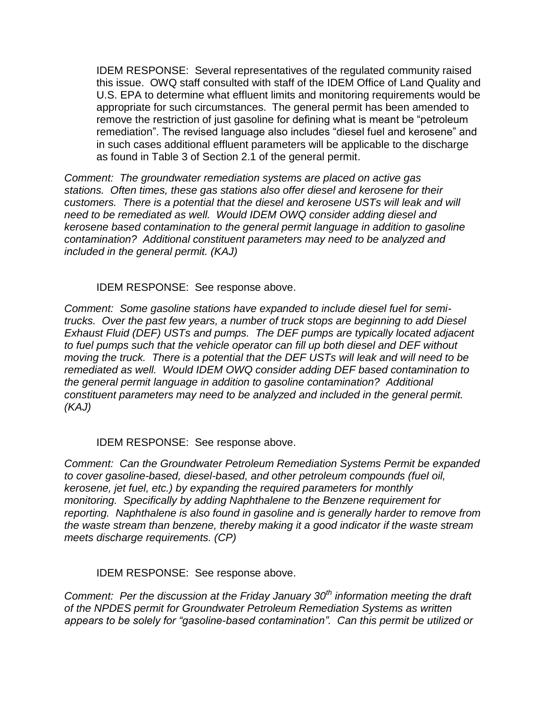IDEM RESPONSE: Several representatives of the regulated community raised this issue. OWQ staff consulted with staff of the IDEM Office of Land Quality and U.S. EPA to determine what effluent limits and monitoring requirements would be appropriate for such circumstances. The general permit has been amended to remove the restriction of just gasoline for defining what is meant be "petroleum remediation". The revised language also includes "diesel fuel and kerosene" and in such cases additional effluent parameters will be applicable to the discharge as found in Table 3 of Section 2.1 of the general permit.

*Comment: The groundwater remediation systems are placed on active gas stations. Often times, these gas stations also offer diesel and kerosene for their customers. There is a potential that the diesel and kerosene USTs will leak and will need to be remediated as well. Would IDEM OWQ consider adding diesel and kerosene based contamination to the general permit language in addition to gasoline contamination? Additional constituent parameters may need to be analyzed and included in the general permit. (KAJ)*

IDEM RESPONSE: See response above.

*Comment: Some gasoline stations have expanded to include diesel fuel for semitrucks. Over the past few years, a number of truck stops are beginning to add Diesel Exhaust Fluid (DEF) USTs and pumps. The DEF pumps are typically located adjacent to fuel pumps such that the vehicle operator can fill up both diesel and DEF without moving the truck. There is a potential that the DEF USTs will leak and will need to be remediated as well. Would IDEM OWQ consider adding DEF based contamination to the general permit language in addition to gasoline contamination? Additional constituent parameters may need to be analyzed and included in the general permit. (KAJ)*

IDEM RESPONSE: See response above.

*Comment: Can the Groundwater Petroleum Remediation Systems Permit be expanded to cover gasoline-based, diesel-based, and other petroleum compounds (fuel oil, kerosene, jet fuel, etc.) by expanding the required parameters for monthly monitoring. Specifically by adding Naphthalene to the Benzene requirement for reporting. Naphthalene is also found in gasoline and is generally harder to remove from the waste stream than benzene, thereby making it a good indicator if the waste stream meets discharge requirements. (CP)*

IDEM RESPONSE: See response above.

*Comment: Per the discussion at the Friday January 30th information meeting the draft of the NPDES permit for Groundwater Petroleum Remediation Systems as written appears to be solely for "gasoline-based contamination". Can this permit be utilized or*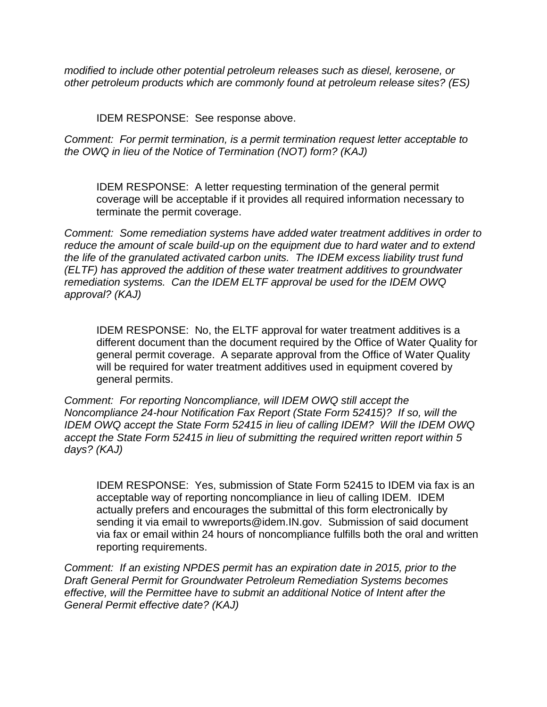*modified to include other potential petroleum releases such as diesel, kerosene, or other petroleum products which are commonly found at petroleum release sites? (ES)*

IDEM RESPONSE: See response above.

*Comment: For permit termination, is a permit termination request letter acceptable to the OWQ in lieu of the Notice of Termination (NOT) form? (KAJ)*

IDEM RESPONSE: A letter requesting termination of the general permit coverage will be acceptable if it provides all required information necessary to terminate the permit coverage.

*Comment: Some remediation systems have added water treatment additives in order to reduce the amount of scale build-up on the equipment due to hard water and to extend the life of the granulated activated carbon units. The IDEM excess liability trust fund (ELTF) has approved the addition of these water treatment additives to groundwater remediation systems. Can the IDEM ELTF approval be used for the IDEM OWQ approval? (KAJ)*

IDEM RESPONSE: No, the ELTF approval for water treatment additives is a different document than the document required by the Office of Water Quality for general permit coverage. A separate approval from the Office of Water Quality will be required for water treatment additives used in equipment covered by general permits.

*Comment: For reporting Noncompliance, will IDEM OWQ still accept the Noncompliance 24-hour Notification Fax Report (State Form 52415)? If so, will the IDEM OWQ accept the State Form 52415 in lieu of calling IDEM? Will the IDEM OWQ accept the State Form 52415 in lieu of submitting the required written report within 5 days? (KAJ)*

IDEM RESPONSE: Yes, submission of State Form 52415 to IDEM via fax is an acceptable way of reporting noncompliance in lieu of calling IDEM. IDEM actually prefers and encourages the submittal of this form electronically by sending it via email to [wwreports@idem.IN.gov.](mailto:wwreports@idem.IN.gov) Submission of said document via fax or email within 24 hours of noncompliance fulfills both the oral and written reporting requirements.

*Comment: If an existing NPDES permit has an expiration date in 2015, prior to the Draft General Permit for Groundwater Petroleum Remediation Systems becomes effective, will the Permittee have to submit an additional Notice of Intent after the General Permit effective date? (KAJ)*